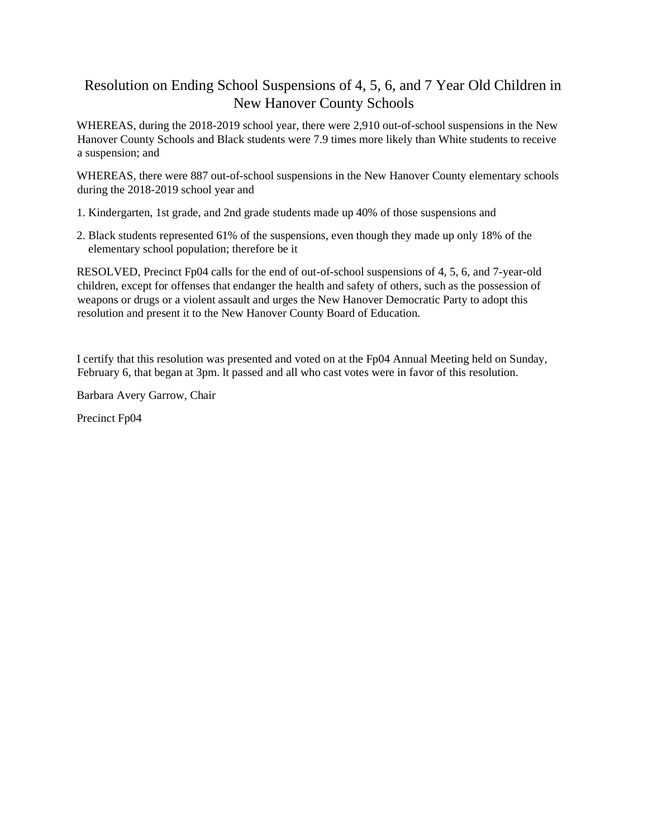# Resolution on Ending School Suspensions of 4, 5, 6, and 7 Year Old Children in New Hanover County Schools

WHEREAS, during the 2018-2019 school year, there were 2,910 out-of-school suspensions in the New Hanover County Schools and Black students were 7.9 times more likely than White students to receive a suspension; and

WHEREAS, there were 887 out-of-school suspensions in the New Hanover County elementary schools during the 2018-2019 school year and

- 1. Kindergarten, 1st grade, and 2nd grade students made up 40% of those suspensions and
- 2. Black students represented 61% of the suspensions, even though they made up only 18% of the elementary school population; therefore be it

RESOLVED, Precinct Fp04 calls for the end of out-of-school suspensions of 4, 5, 6, and 7-year-old children, except for offenses that endanger the health and safety of others, such as the possession of weapons or drugs or a violent assault and urges the New Hanover Democratic Party to adopt this resolution and present it to the New Hanover County Board of Education.

I certify that this resolution was presented and voted on at the Fp04 Annual Meeting held on Sunday, February 6, that began at 3pm. lt passed and all who cast votes were in favor of this resolution.

Barbara Avery Garrow, Chair

Precinct Fp04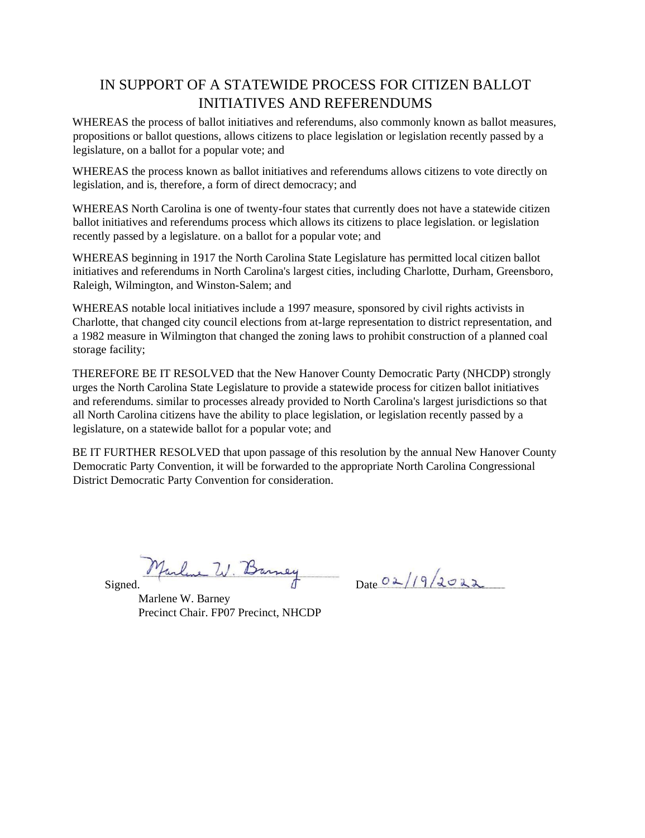# IN SUPPORT OF A STATEWIDE PROCESS FOR CITIZEN BALLOT INITIATIVES AND REFERENDUMS

WHEREAS the process of ballot initiatives and referendums, also commonly known as ballot measures, propositions or ballot questions, allows citizens to place legislation or legislation recently passed by a legislature, on a ballot for a popular vote; and

WHEREAS the process known as ballot initiatives and referendums allows citizens to vote directly on legislation, and is, therefore, a form of direct democracy; and

WHEREAS North Carolina is one of twenty-four states that currently does not have a statewide citizen ballot initiatives and referendums process which allows its citizens to place legislation. or legislation recently passed by a legislature. on a ballot for a popular vote; and

WHEREAS beginning in 1917 the North Carolina State Legislature has permitted local citizen ballot initiatives and referendums in North Carolina's largest cities, including Charlotte, Durham, Greensboro, Raleigh, Wilmington, and Winston-Salem; and

WHEREAS notable local initiatives include a 1997 measure, sponsored by civil rights activists in Charlotte, that changed city council elections from at-large representation to district representation, and a 1982 measure in Wilmington that changed the zoning laws to prohibit construction of a planned coal storage facility;

THEREFORE BE IT RESOLVED that the New Hanover County Democratic Party (NHCDP) strongly urges the North Carolina State Legislature to provide a statewide process for citizen ballot initiatives and referendums. similar to processes already provided to North Carolina's largest jurisdictions so that all North Carolina citizens have the ability to place legislation, or legislation recently passed by a legislature, on a statewide ballot for a popular vote; and

BE IT FURTHER RESOLVED that upon passage of this resolution by the annual New Hanover County Democratic Party Convention, it will be forwarded to the appropriate North Carolina Congressional District Democratic Party Convention for consideration.

Marline W. Barney  $Signed.$   $U.$  Danney Date  $02/19/2022$ 

Marlene W. Barney Precinct Chair. FP07 Precinct, NHCDP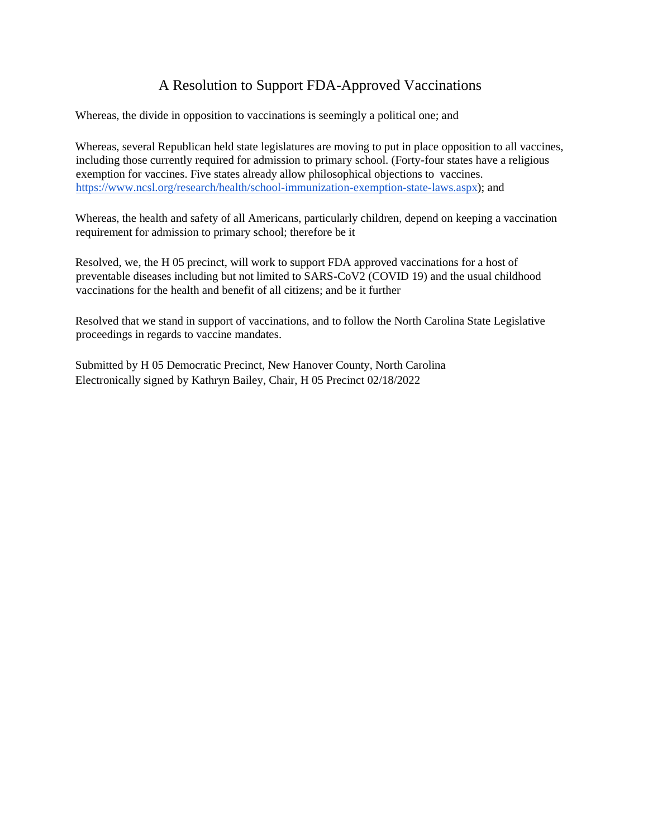# A Resolution to Support FDA-Approved Vaccinations

Whereas, the divide in opposition to vaccinations is seemingly a political one; and

Whereas, several Republican held state legislatures are moving to put in place opposition to all vaccines, including those currently required for admission to primary school. (Forty-four states have a religious exemption for vaccines. Five states already allow philosophical objections to vaccines. [https://www.ncsl.org/research/health/school-immunization-exemption-state-laws.aspx\);](https://www.ncsl.org/research/health/school-immunization-exemption-state-laws.aspx) and

Whereas, the health and safety of all Americans, particularly children, depend on keeping a vaccination requirement for admission to primary school; therefore be it

Resolved, we, the H 05 precinct, will work to support FDA approved vaccinations for a host of preventable diseases including but not limited to SARS-CoV2 (COVID 19) and the usual childhood vaccinations for the health and benefit of all citizens; and be it further

Resolved that we stand in support of vaccinations, and to follow the North Carolina State Legislative proceedings in regards to vaccine mandates.

Submitted by H 05 Democratic Precinct, New Hanover County, North Carolina Electronically signed by Kathryn Bailey, Chair, H 05 Precinct 02/18/2022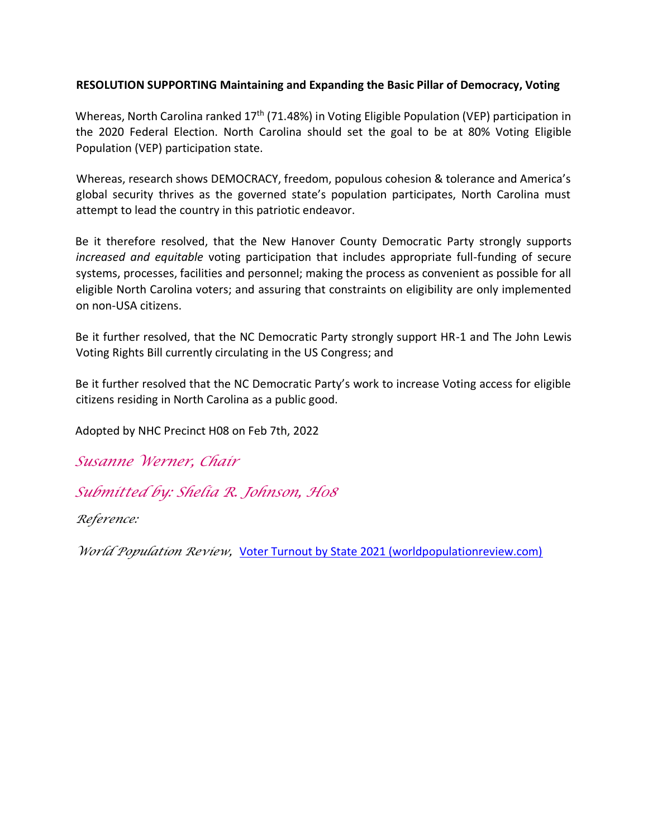#### **RESOLUTION SUPPORTING Maintaining and Expanding the Basic Pillar of Democracy, Voting**

Whereas, North Carolina ranked 17<sup>th</sup> (71.48%) in Voting Eligible Population (VEP) participation in the 2020 Federal Election. North Carolina should set the goal to be at 80% Voting Eligible Population (VEP) participation state.

Whereas, research shows DEMOCRACY, freedom, populous cohesion & tolerance and America's global security thrives as the governed state's population participates, North Carolina must attempt to lead the country in this patriotic endeavor.

Be it therefore resolved, that the New Hanover County Democratic Party strongly supports *increased and equitable* voting participation that includes appropriate full-funding of secure systems, processes, facilities and personnel; making the process as convenient as possible for all eligible North Carolina voters; and assuring that constraints on eligibility are only implemented on non-USA citizens.

Be it further resolved, that the NC Democratic Party strongly support HR-1 and The John Lewis Voting Rights Bill currently circulating in the US Congress; and

Be it further resolved that the NC Democratic Party's work to increase Voting access for eligible citizens residing in North Carolina as a public good.

Adopted by NHC Precinct H08 on Feb 7th, 2022

*Susanne Werner, Chair* 

*Submitted by: Shelia R. Johnson, H08* 

*Reference:* 

*WorldPopulation Review,* [Voter Turnout by State 2021 \(worldpopulationreview.com\)](https://worldpopulationreview.com/state-rankings/voter-turnout-by-state)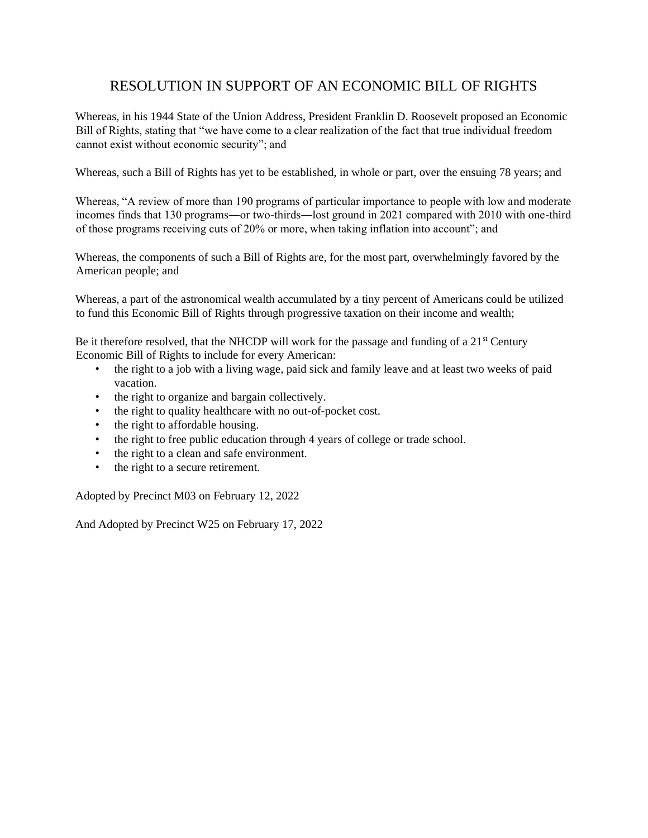# RESOLUTION IN SUPPORT OF AN ECONOMIC BILL OF RIGHTS

Whereas, in his 1944 State of the Union Address, President Franklin D. Roosevelt proposed an Economic Bill of Rights, stating that "we have come to a clear realization of the fact that true individual freedom cannot exist without economic security"; and

Whereas, such a Bill of Rights has yet to be established, in whole or part, over the ensuing 78 years; and

Whereas, "A review of more than 190 programs of particular importance to people with low and moderate incomes finds that 130 programs―or two-thirds―lost ground in 2021 compared with 2010 with one-third of those programs receiving cuts of 20% or more, when taking inflation into account"; and

Whereas, the components of such a Bill of Rights are, for the most part, overwhelmingly favored by the American people; and

Whereas, a part of the astronomical wealth accumulated by a tiny percent of Americans could be utilized to fund this Economic Bill of Rights through progressive taxation on their income and wealth;

Be it therefore resolved, that the NHCDP will work for the passage and funding of a  $21<sup>st</sup>$  Century Economic Bill of Rights to include for every American:

- the right to a job with a living wage, paid sick and family leave and at least two weeks of paid vacation.
- the right to organize and bargain collectively.
- the right to quality healthcare with no out-of-pocket cost.
- the right to affordable housing.
- the right to free public education through 4 years of college or trade school.
- the right to a clean and safe environment.
- the right to a secure retirement.

Adopted by Precinct M03 on February 12, 2022

And Adopted by Precinct W25 on February 17, 2022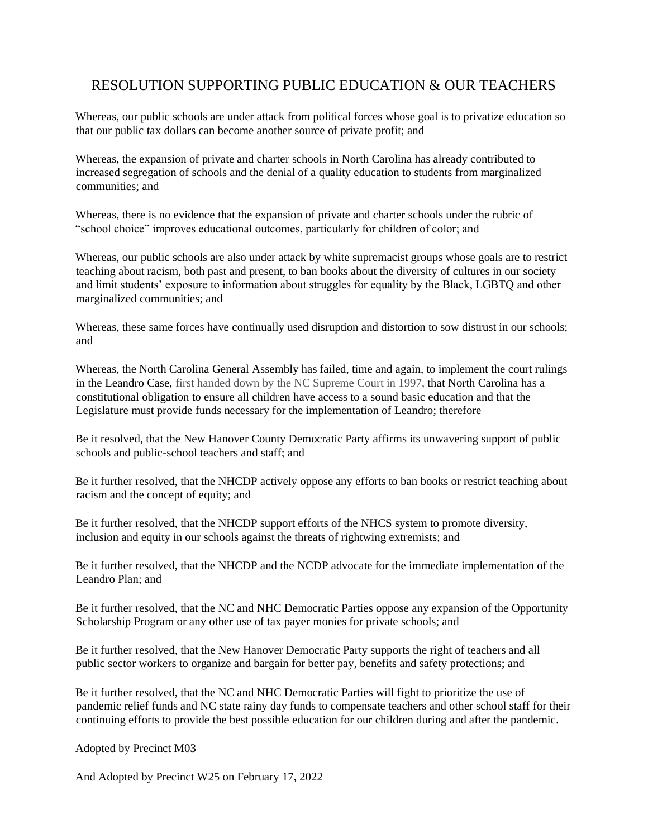# RESOLUTION SUPPORTING PUBLIC EDUCATION & OUR TEACHERS

Whereas, our public schools are under attack from political forces whose goal is to privatize education so that our public tax dollars can become another source of private profit; and

Whereas, the expansion of private and charter schools in North Carolina has already contributed to increased segregation of schools and the denial of a quality education to students from marginalized communities; and

Whereas, there is no evidence that the expansion of private and charter schools under the rubric of "school choice" improves educational outcomes, particularly for children of color; and

Whereas, our public schools are also under attack by white supremacist groups whose goals are to restrict teaching about racism, both past and present, to ban books about the diversity of cultures in our society and limit students' exposure to information about struggles for equality by the Black, LGBTQ and other marginalized communities; and

Whereas, these same forces have continually used disruption and distortion to sow distrust in our schools; and

Whereas, the North Carolina General Assembly has failed, time and again, to implement the court rulings in the Leandro Case, first handed down by the NC Supreme Court in 1997, that North Carolina has a constitutional obligation to ensure all children have access to a sound basic education and that the Legislature must provide funds necessary for the implementation of Leandro; therefore

Be it resolved, that the New Hanover County Democratic Party affirms its unwavering support of public schools and public-school teachers and staff; and

Be it further resolved, that the NHCDP actively oppose any efforts to ban books or restrict teaching about racism and the concept of equity; and

Be it further resolved, that the NHCDP support efforts of the NHCS system to promote diversity, inclusion and equity in our schools against the threats of rightwing extremists; and

Be it further resolved, that the NHCDP and the NCDP advocate for the immediate implementation of the Leandro Plan; and

Be it further resolved, that the NC and NHC Democratic Parties oppose any expansion of the Opportunity Scholarship Program or any other use of tax payer monies for private schools; and

Be it further resolved, that the New Hanover Democratic Party supports the right of teachers and all public sector workers to organize and bargain for better pay, benefits and safety protections; and

Be it further resolved, that the NC and NHC Democratic Parties will fight to prioritize the use of pandemic relief funds and NC state rainy day funds to compensate teachers and other school staff for their continuing efforts to provide the best possible education for our children during and after the pandemic.

Adopted by Precinct M03

And Adopted by Precinct W25 on February 17, 2022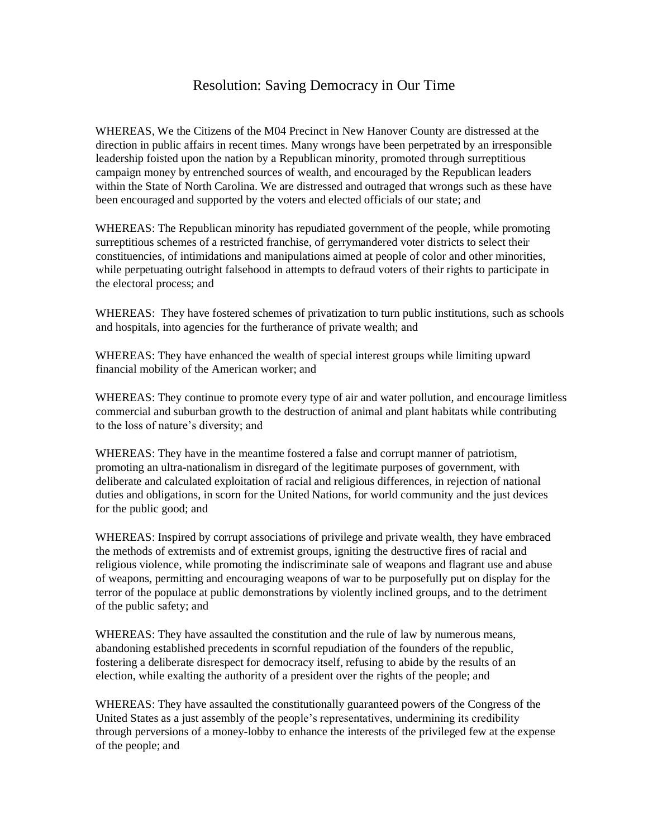# Resolution: Saving Democracy in Our Time

WHEREAS, We the Citizens of the M04 Precinct in New Hanover County are distressed at the direction in public affairs in recent times. Many wrongs have been perpetrated by an irresponsible leadership foisted upon the nation by a Republican minority, promoted through surreptitious campaign money by entrenched sources of wealth, and encouraged by the Republican leaders within the State of North Carolina. We are distressed and outraged that wrongs such as these have been encouraged and supported by the voters and elected officials of our state; and

WHEREAS: The Republican minority has repudiated government of the people, while promoting surreptitious schemes of a restricted franchise, of gerrymandered voter districts to select their constituencies, of intimidations and manipulations aimed at people of color and other minorities, while perpetuating outright falsehood in attempts to defraud voters of their rights to participate in the electoral process; and

WHEREAS: They have fostered schemes of privatization to turn public institutions, such as schools and hospitals, into agencies for the furtherance of private wealth; and

WHEREAS: They have enhanced the wealth of special interest groups while limiting upward financial mobility of the American worker; and

WHEREAS: They continue to promote every type of air and water pollution, and encourage limitless commercial and suburban growth to the destruction of animal and plant habitats while contributing to the loss of nature's diversity; and

WHEREAS: They have in the meantime fostered a false and corrupt manner of patriotism, promoting an ultra-nationalism in disregard of the legitimate purposes of government, with deliberate and calculated exploitation of racial and religious differences, in rejection of national duties and obligations, in scorn for the United Nations, for world community and the just devices for the public good; and

WHEREAS: Inspired by corrupt associations of privilege and private wealth, they have embraced the methods of extremists and of extremist groups, igniting the destructive fires of racial and religious violence, while promoting the indiscriminate sale of weapons and flagrant use and abuse of weapons, permitting and encouraging weapons of war to be purposefully put on display for the terror of the populace at public demonstrations by violently inclined groups, and to the detriment of the public safety; and

WHEREAS: They have assaulted the constitution and the rule of law by numerous means, abandoning established precedents in scornful repudiation of the founders of the republic, fostering a deliberate disrespect for democracy itself, refusing to abide by the results of an election, while exalting the authority of a president over the rights of the people; and

WHEREAS: They have assaulted the constitutionally guaranteed powers of the Congress of the United States as a just assembly of the people's representatives, undermining its credibility through perversions of a money-lobby to enhance the interests of the privileged few at the expense of the people; and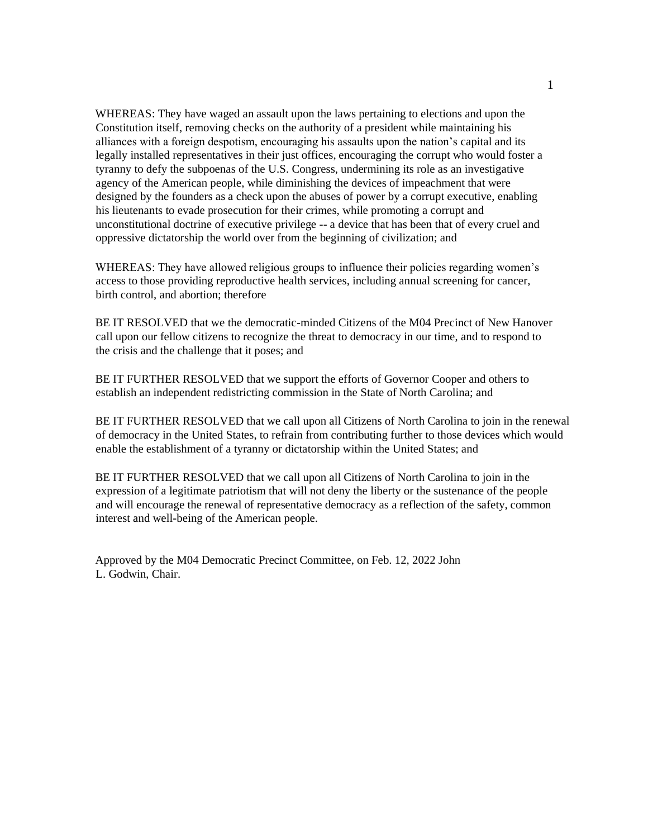WHEREAS: They have waged an assault upon the laws pertaining to elections and upon the Constitution itself, removing checks on the authority of a president while maintaining his alliances with a foreign despotism, encouraging his assaults upon the nation's capital and its legally installed representatives in their just offices, encouraging the corrupt who would foster a tyranny to defy the subpoenas of the U.S. Congress, undermining its role as an investigative agency of the American people, while diminishing the devices of impeachment that were designed by the founders as a check upon the abuses of power by a corrupt executive, enabling his lieutenants to evade prosecution for their crimes, while promoting a corrupt and unconstitutional doctrine of executive privilege -- a device that has been that of every cruel and oppressive dictatorship the world over from the beginning of civilization; and

WHEREAS: They have allowed religious groups to influence their policies regarding women's access to those providing reproductive health services, including annual screening for cancer, birth control, and abortion; therefore

BE IT RESOLVED that we the democratic-minded Citizens of the M04 Precinct of New Hanover call upon our fellow citizens to recognize the threat to democracy in our time, and to respond to the crisis and the challenge that it poses; and

BE IT FURTHER RESOLVED that we support the efforts of Governor Cooper and others to establish an independent redistricting commission in the State of North Carolina; and

BE IT FURTHER RESOLVED that we call upon all Citizens of North Carolina to join in the renewal of democracy in the United States, to refrain from contributing further to those devices which would enable the establishment of a tyranny or dictatorship within the United States; and

BE IT FURTHER RESOLVED that we call upon all Citizens of North Carolina to join in the expression of a legitimate patriotism that will not deny the liberty or the sustenance of the people and will encourage the renewal of representative democracy as a reflection of the safety, common interest and well-being of the American people.

Approved by the M04 Democratic Precinct Committee, on Feb. 12, 2022 John L. Godwin, Chair.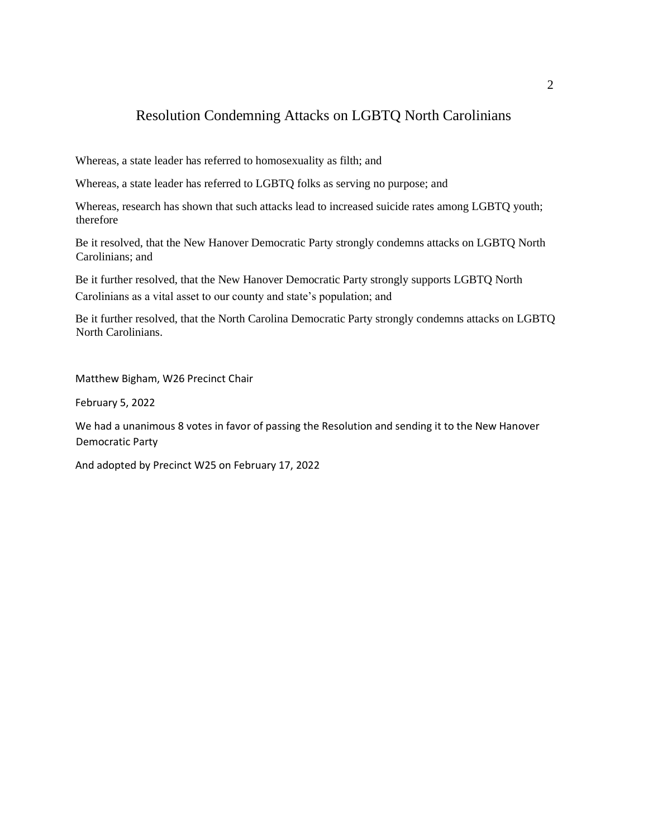#### Resolution Condemning Attacks on LGBTQ North Carolinians

Whereas, a state leader has referred to homosexuality as filth; and

Whereas, a state leader has referred to LGBTQ folks as serving no purpose; and

Whereas, research has shown that such attacks lead to increased suicide rates among LGBTQ youth; therefore

Be it resolved, that the New Hanover Democratic Party strongly condemns attacks on LGBTQ North Carolinians; and

Be it further resolved, that the New Hanover Democratic Party strongly supports LGBTQ North Carolinians as a vital asset to our county and state's population; and

Be it further resolved, that the North Carolina Democratic Party strongly condemns attacks on LGBTQ North Carolinians.

Matthew Bigham, W26 Precinct Chair

February 5, 2022

We had a unanimous 8 votes in favor of passing the Resolution and sending it to the New Hanover Democratic Party

And adopted by Precinct W25 on February 17, 2022